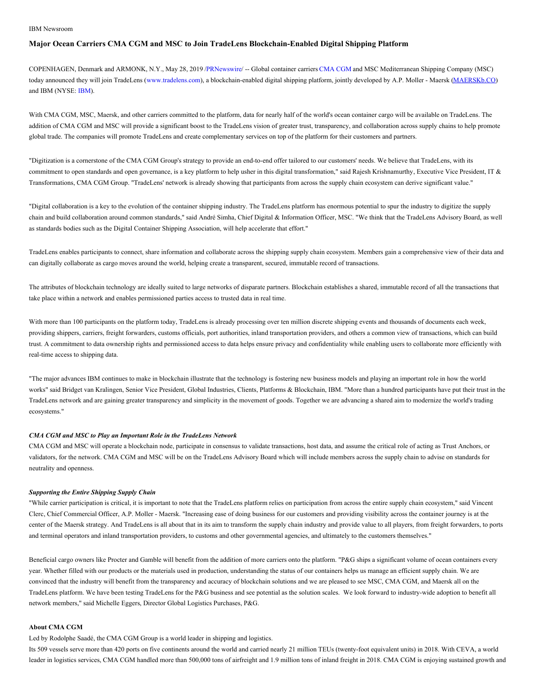#### IBM Newsroom

# **Major Ocean Carriers CMA CGM and MSC to Join TradeLens Blockchain-Enabled Digital Shipping Platform**

COPENHAGEN, Denmark and ARMONK, N.Y., May 28, 2019 /[PRNewswire](http://www.prnewswire.com/)/ -- Global container carriers [CMA](https://c212.net/c/link/?t=0&l=en&o=2478810-1&h=1666522646&u=http%3A%2F%2Fwww.cmacgm-group.com%2F&a=CMA+CGM) CGM and MSC Mediterranean Shipping Company (MSC) today announced they will join TradeLens ([www.tradelens.com\)](https://c212.net/c/link/?t=0&l=en&o=2478810-1&h=3585736862&u=http%3A%2F%2Fwww.tradelens.com%2F&a=www.tradelens.com), a blockchain-enabled digital shipping platform, jointly developed by A.P. Moller - Maersk [\(MAERSKb.CO](https://c212.net/c/link/?t=0&l=en&o=2478810-1&h=3375316269&u=https%3A%2F%2Fwww.google.com%2Fsearch%3Fsa%3DX%26tbm%3Dfin%26q%3DCPH%3A%2BMAERSK-B&a=MAERSKb.CO)) and IBM (NYSE: [IBM](https://c212.net/c/link/?t=0&l=en&o=2478810-1&h=4254724301&u=http%3A%2F%2Fwww.ibm.com%2Finvestor&a=IBM)).

With CMA CGM, MSC, Maersk, and other carriers committed to the platform, data for nearly half of the world's ocean container cargo will be available on TradeLens. The addition of CMA CGM and MSC will provide a significant boost to the TradeLens vision of greater trust, transparency, and collaboration across supply chains to help promote global trade. The companies will promote TradeLens and create complementary services on top of the platform for their customers and partners.

"Digitization is a cornerstone of the CMA CGM Group's strategy to provide an end-to-end offer tailored to our customers' needs. We believe that TradeLens, with its commitment to open standards and open governance, is a key platform to help usher in this digital transformation," said Rajesh Krishnamurthy, Executive Vice President, IT & Transformations, CMA CGM Group. "TradeLens' network is already showing that participants from across the supply chain ecosystem can derive significant value."

"Digital collaboration is a key to the evolution of the container shipping industry. The TradeLens platform has enormous potential to spur the industry to digitize the supply chain and build collaboration around common standards," said André Simha, Chief Digital & Information Officer, MSC. "We think that the TradeLens Advisory Board, as well as standards bodies such as the Digital Container Shipping Association, will help accelerate that effort."

TradeLens enables participants to connect, share information and collaborate across the shipping supply chain ecosystem. Members gain a comprehensive view of their data and can digitally collaborate as cargo moves around the world, helping create a transparent, secured, immutable record of transactions.

The attributes of blockchain technology are ideally suited to large networks of disparate partners. Blockchain establishes a shared, immutable record of all the transactions that take place within a network and enables permissioned parties access to trusted data in real time.

With more than 100 participants on the platform today, TradeLens is already processing over ten million discrete shipping events and thousands of documents each week, providing shippers, carriers, freight forwarders, customs officials, port authorities, inland transportation providers, and others a common view of transactions, which can build trust. A commitment to data ownership rights and permissioned access to data helps ensure privacy and confidentiality while enabling users to collaborate more efficiently with real-time access to shipping data.

"The major advances IBM continues to make in blockchain illustrate that the technology is fostering new business models and playing an important role in how the world works" said Bridget van Kralingen, Senior Vice President, Global Industries, Clients, Platforms & Blockchain, IBM. "More than a hundred participants have put their trust in the TradeLens network and are gaining greater transparency and simplicity in the movement of goods. Together we are advancing a shared aim to modernize the world's trading ecosystems."

#### *CMA CGM and MSC to Play an Important Role in the TradeLens Network*

CMA CGM and MSC will operate a blockchain node, participate in consensus to validate transactions, host data, and assume the critical role of acting as Trust Anchors, or validators, for the network. CMA CGM and MSC will be on the TradeLens Advisory Board which will include members across the supply chain to advise on standards for neutrality and openness.

#### *Supporting the Entire Shipping Supply Chain*

"While carrier participation is critical, it is important to note that the TradeLens platform relies on participation from across the entire supply chain ecosystem," said Vincent Clerc, Chief Commercial Officer, A.P. Moller - Maersk. "Increasing ease of doing business for our customers and providing visibility across the container journey is at the center of the Maersk strategy. And TradeLens is all about that in its aim to transform the supply chain industry and provide value to all players, from freight forwarders, to ports and terminal operators and inland transportation providers, to customs and other governmental agencies, and ultimately to the customers themselves."

Beneficial cargo owners like Procter and Gamble will benefit from the addition of more carriers onto the platform. "P&G ships a significant volume of ocean containers every year. Whether filled with our products or the materials used in production, understanding the status of our containers helps us manage an efficient supply chain. We are convinced that the industry will benefit from the transparency and accuracy of blockchain solutions and we are pleased to see MSC, CMA CGM, and Maersk all on the TradeLens platform. We have been testing TradeLens for the P&G business and see potential as the solution scales. We look forward to industry-wide adoption to benefit all network members," said Michelle Eggers, Director Global Logistics Purchases, P&G.

### **About CMA CGM**

Led by Rodolphe Saadé, the CMA CGM Group is a world leader in shipping and logistics.

Its 509 vessels serve more than 420 ports on five continents around the world and carried nearly 21 million TEUs (twenty-foot equivalent units) in 2018. With CEVA, a world leader in logistics services, CMA CGM handled more than 500,000 tons of airfreight and 1.9 million tons of inland freight in 2018. CMA CGM is enjoying sustained growth and